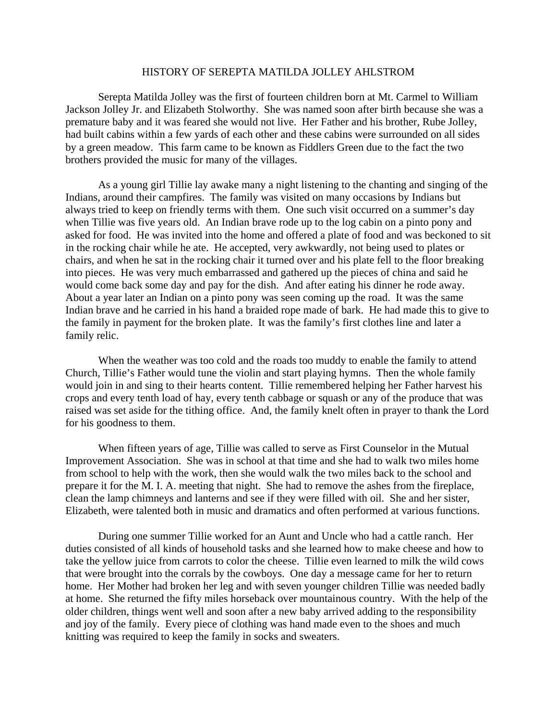## HISTORY OF SEREPTA MATILDA JOLLEY AHLSTROM

Serepta Matilda Jolley was the first of fourteen children born at Mt. Carmel to William Jackson Jolley Jr. and Elizabeth Stolworthy. She was named soon after birth because she was a premature baby and it was feared she would not live. Her Father and his brother, Rube Jolley, had built cabins within a few yards of each other and these cabins were surrounded on all sides by a green meadow. This farm came to be known as Fiddlers Green due to the fact the two brothers provided the music for many of the villages.

As a young girl Tillie lay awake many a night listening to the chanting and singing of the Indians, around their campfires. The family was visited on many occasions by Indians but always tried to keep on friendly terms with them. One such visit occurred on a summer's day when Tillie was five years old. An Indian brave rode up to the log cabin on a pinto pony and asked for food. He was invited into the home and offered a plate of food and was beckoned to sit in the rocking chair while he ate. He accepted, very awkwardly, not being used to plates or chairs, and when he sat in the rocking chair it turned over and his plate fell to the floor breaking into pieces. He was very much embarrassed and gathered up the pieces of china and said he would come back some day and pay for the dish. And after eating his dinner he rode away. About a year later an Indian on a pinto pony was seen coming up the road. It was the same Indian brave and he carried in his hand a braided rope made of bark. He had made this to give to the family in payment for the broken plate. It was the family's first clothes line and later a family relic.

When the weather was too cold and the roads too muddy to enable the family to attend Church, Tillie's Father would tune the violin and start playing hymns. Then the whole family would join in and sing to their hearts content. Tillie remembered helping her Father harvest his crops and every tenth load of hay, every tenth cabbage or squash or any of the produce that was raised was set aside for the tithing office. And, the family knelt often in prayer to thank the Lord for his goodness to them.

When fifteen years of age, Tillie was called to serve as First Counselor in the Mutual Improvement Association. She was in school at that time and she had to walk two miles home from school to help with the work, then she would walk the two miles back to the school and prepare it for the M. I. A. meeting that night. She had to remove the ashes from the fireplace, clean the lamp chimneys and lanterns and see if they were filled with oil. She and her sister, Elizabeth, were talented both in music and dramatics and often performed at various functions.

During one summer Tillie worked for an Aunt and Uncle who had a cattle ranch. Her duties consisted of all kinds of household tasks and she learned how to make cheese and how to take the yellow juice from carrots to color the cheese. Tillie even learned to milk the wild cows that were brought into the corrals by the cowboys. One day a message came for her to return home. Her Mother had broken her leg and with seven younger children Tillie was needed badly at home. She returned the fifty miles horseback over mountainous country. With the help of the older children, things went well and soon after a new baby arrived adding to the responsibility and joy of the family. Every piece of clothing was hand made even to the shoes and much knitting was required to keep the family in socks and sweaters.